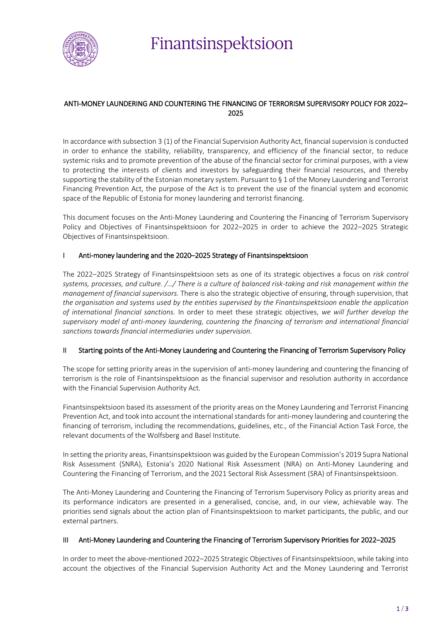

Finantsinspektsioon

# ANTI-MONEY LAUNDERING AND COUNTERING THE FINANCING OF TERRORISM SUPERVISORY POLICY FOR 2022– 2025

In accordance with subsection 3 (1) of the Financial Supervision Authority Act, financial supervision is conducted in order to enhance the stability, reliability, transparency, and efficiency of the financial sector, to reduce systemic risks and to promote prevention of the abuse of the financial sector for criminal purposes, with a view to protecting the interests of clients and investors by safeguarding their financial resources, and thereby supporting the stability of the Estonian monetary system. Pursuant to § 1 of the Money Laundering and Terrorist Financing Prevention Act, the purpose of the Act is to prevent the use of the financial system and economic space of the Republic of Estonia for money laundering and terrorist financing.

This document focuses on the Anti-Money Laundering and Countering the Financing of Terrorism Supervisory Policy and Objectives of Finantsinspektsioon for 2022–2025 in order to achieve the 2022–2025 Strategic Objectives of Finantsinspektsioon.

# Anti-money laundering and the 2020–2025 Strategy of Finantsinspektsioon

The 2022–2025 Strategy of Finantsinspektsioon sets as one of its strategic objectives a focus on *risk control systems, processes, and culture. /…/ There is a culture of balanced risk-taking and risk management within the management of financial supervisors.* There is also the strategic objective of ensuring, through supervision, that *the organisation and systems used by the entities supervised by the Finantsinspektsioon enable the application of international financial sanctions.* In order to meet these strategic objectives, *we will further develop the supervisory model of anti-money laundering, countering the financing of terrorism and international financial sanctions towards financial intermediaries under supervision.* 

# II Starting points of the Anti-Money Laundering and Countering the Financing of Terrorism Supervisory Policy

The scope for setting priority areas in the supervision of anti-money laundering and countering the financing of terrorism is the role of Finantsinspektsioon as the financial supervisor and resolution authority in accordance with the Financial Supervision Authority Act.

Finantsinspektsioon based its assessment of the priority areas on the Money Laundering and Terrorist Financing Prevention Act, and took into account the international standards for anti-money laundering and countering the financing of terrorism, including the recommendations, guidelines, etc., of the Financial Action Task Force, the relevant documents of the Wolfsberg and Basel Institute.

In setting the priority areas, Finantsinspektsioon was guided by the European Commission's 2019 Supra National Risk Assessment (SNRA), Estonia's 2020 National Risk Assessment (NRA) on Anti-Money Laundering and Countering the Financing of Terrorism, and the 2021 Sectoral Risk Assessment (SRA) of Finantsinspektsioon.

The Anti-Money Laundering and Countering the Financing of Terrorism Supervisory Policy as priority areas and its performance indicators are presented in a generalised, concise, and, in our view, achievable way. The priorities send signals about the action plan of Finantsinspektsioon to market participants, the public, and our external partners.

## III Anti-Money Laundering and Countering the Financing of Terrorism Supervisory Priorities for 2022–2025

In order to meet the above-mentioned 2022–2025 Strategic Objectives of Finantsinspektsioon, while taking into account the objectives of the Financial Supervision Authority Act and the Money Laundering and Terrorist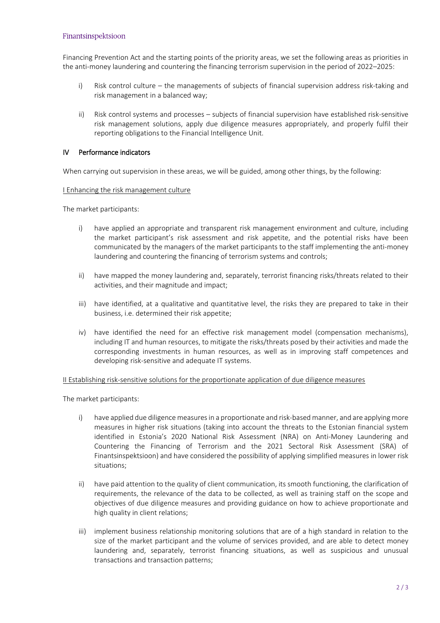#### Finantsinspektsioon

Financing Prevention Act and the starting points of the priority areas, we set the following areas as priorities in the anti-money laundering and countering the financing terrorism supervision in the period of 2022–2025:

- i) Risk control culture the managements of subjects of financial supervision address risk-taking and risk management in a balanced way;
- ii) Risk control systems and processes subjects of financial supervision have established risk-sensitive risk management solutions, apply due diligence measures appropriately, and properly fulfil their reporting obligations to the Financial Intelligence Unit.

## IV Performance indicators

When carrying out supervision in these areas, we will be guided, among other things, by the following:

#### I Enhancing the risk management culture

The market participants:

- i) have applied an appropriate and transparent risk management environment and culture, including the market participant's risk assessment and risk appetite, and the potential risks have been communicated by the managers of the market participants to the staff implementing the anti-money laundering and countering the financing of terrorism systems and controls;
- ii) have mapped the money laundering and, separately, terrorist financing risks/threats related to their activities, and their magnitude and impact;
- iii) have identified, at a qualitative and quantitative level, the risks they are prepared to take in their business, i.e. determined their risk appetite;
- iv) have identified the need for an effective risk management model (compensation mechanisms), including IT and human resources, to mitigate the risks/threats posed by their activities and made the corresponding investments in human resources, as well as in improving staff competences and developing risk-sensitive and adequate IT systems.

II Establishing risk-sensitive solutions for the proportionate application of due diligence measures

The market participants:

- i) have applied due diligence measures in a proportionate and risk-based manner, and are applying more measures in higher risk situations (taking into account the threats to the Estonian financial system identified in Estonia's 2020 National Risk Assessment (NRA) on Anti-Money Laundering and Countering the Financing of Terrorism and the 2021 Sectoral Risk Assessment (SRA) of Finantsinspektsioon) and have considered the possibility of applying simplified measures in lower risk situations;
- ii) have paid attention to the quality of client communication, its smooth functioning, the clarification of requirements, the relevance of the data to be collected, as well as training staff on the scope and objectives of due diligence measures and providing guidance on how to achieve proportionate and high quality in client relations;
- iii) implement business relationship monitoring solutions that are of a high standard in relation to the size of the market participant and the volume of services provided, and are able to detect money laundering and, separately, terrorist financing situations, as well as suspicious and unusual transactions and transaction patterns;